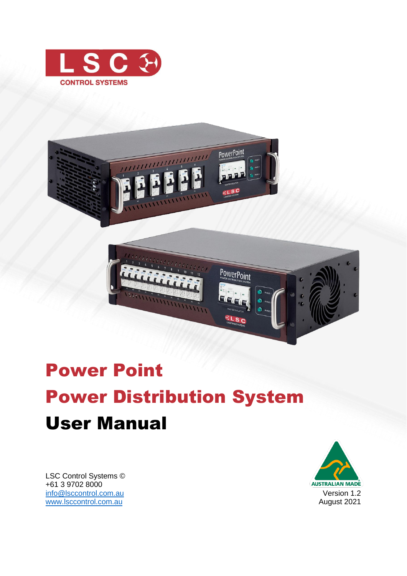





# Power Point Power Distribution System User Manual

LSC Control Systems © +61 3 9702 8000 [info@lsccontrol.com.](mailto:info@lsccontrol.com)au [www.lsccontrol.com.](http://www.lsccontrol.com/)au

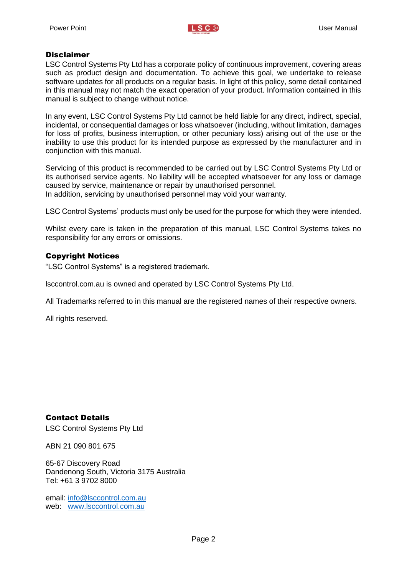#### **Disclaimer**

LSC Control Systems Pty Ltd has a corporate policy of continuous improvement, covering areas such as product design and documentation. To achieve this goal, we undertake to release software updates for all products on a regular basis. In light of this policy, some detail contained in this manual may not match the exact operation of your product. Information contained in this manual is subject to change without notice.

In any event, LSC Control Systems Pty Ltd cannot be held liable for any direct, indirect, special, incidental, or consequential damages or loss whatsoever (including, without limitation, damages for loss of profits, business interruption, or other pecuniary loss) arising out of the use or the inability to use this product for its intended purpose as expressed by the manufacturer and in conjunction with this manual.

Servicing of this product is recommended to be carried out by LSC Control Systems Pty Ltd or its authorised service agents. No liability will be accepted whatsoever for any loss or damage caused by service, maintenance or repair by unauthorised personnel. In addition, servicing by unauthorised personnel may void your warranty.

LSC Control Systems' products must only be used for the purpose for which they were intended.

Whilst every care is taken in the preparation of this manual, LSC Control Systems takes no responsibility for any errors or omissions.

#### Copyright Notices

"LSC Control Systems" is a registered trademark.

lsccontrol.com.au is owned and operated by LSC Control Systems Pty Ltd.

All Trademarks referred to in this manual are the registered names of their respective owners.

All rights reserved.

Contact Details

LSC Control Systems Pty Ltd

ABN 21 090 801 675

65-67 Discovery Road Dandenong South, Victoria 3175 Australia Tel: +61 3 9702 8000

email: [info@lsccontrol.com.au](mailto:info@lsccontrol.com.au) web: [www.lsccontrol.com.au](http://www.lsccontrol.com.au/)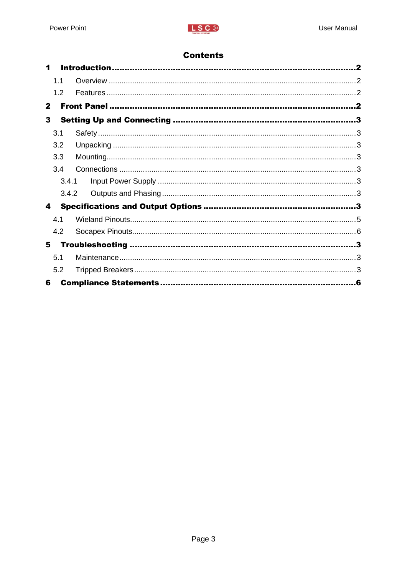# **Contents**

| 1            |       |    |
|--------------|-------|----|
|              | 1.1   |    |
|              | 1.2   |    |
| $\mathbf{2}$ |       |    |
| 3            |       |    |
|              | 3.1   |    |
|              | 3.2   |    |
|              | 3.3   |    |
|              | 3.4   |    |
|              | 3.4.1 |    |
|              | 3.4.2 |    |
| 4            |       |    |
|              | 4.1   |    |
|              | 4.2   |    |
| 5            |       |    |
|              | 5.1   |    |
|              | 5.2   |    |
| 6            |       | -6 |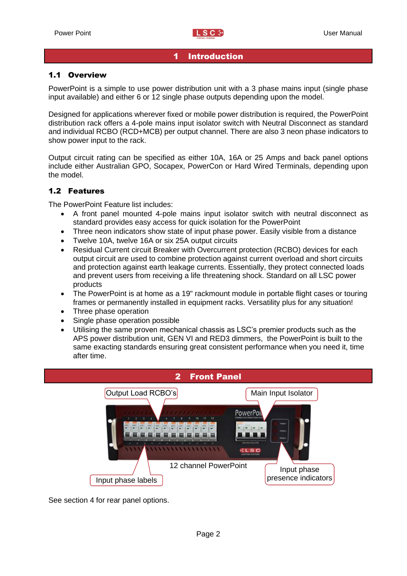#### 1 Introduction

#### <span id="page-3-1"></span><span id="page-3-0"></span>1.1 Overview

PowerPoint is a simple to use power distribution unit with a 3 phase mains input (single phase input available) and either 6 or 12 single phase outputs depending upon the model.

Designed for applications wherever fixed or mobile power distribution is required, the PowerPoint distribution rack offers a 4-pole mains input isolator switch with Neutral Disconnect as standard and individual RCBO (RCD+MCB) per output channel. There are also 3 neon phase indicators to show power input to the rack.

Output circuit rating can be specified as either 10A, 16A or 25 Amps and back panel options include either Australian GPO, Socapex, PowerCon or Hard Wired Terminals, depending upon the model.

#### <span id="page-3-2"></span>1.2 Features

The PowerPoint Feature list includes:

- A front panel mounted 4-pole mains input isolator switch with neutral disconnect as standard provides easy access for quick isolation for the PowerPoint
- Three neon indicators show state of input phase power. Easily visible from a distance
- Twelve 10A, twelve 16A or six 25A output circuits
- Residual Current circuit Breaker with Overcurrent protection (RCBO) devices for each output circuit are used to combine protection against current overload and short circuits and protection against earth leakage currents. Essentially, they protect connected loads and prevent users from receiving a life threatening shock. Standard on all LSC power products
- The PowerPoint is at home as a 19" rackmount module in portable flight cases or touring frames or permanently installed in equipment racks. Versatility plus for any situation!
- Three phase operation
- Single phase operation possible
- Utilising the same proven mechanical chassis as LSC's premier products such as the APS power distribution unit, GEN VI and RED3 dimmers, the PowerPoint is built to the same exacting standards ensuring great consistent performance when you need it, time after time.

<span id="page-3-3"></span>

See section [4](#page-4-10) for rear panel options.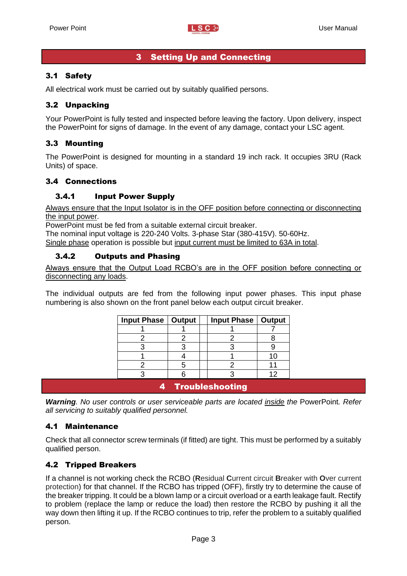## 3 Setting Up and Connecting

## <span id="page-4-1"></span><span id="page-4-0"></span>3.1 Safety

All electrical work must be carried out by suitably qualified persons.

## <span id="page-4-2"></span>3.2 Unpacking

Your PowerPoint is fully tested and inspected before leaving the factory. Upon delivery, inspect the PowerPoint for signs of damage. In the event of any damage, contact your LSC agent.

#### <span id="page-4-3"></span>3.3 Mounting

The PowerPoint is designed for mounting in a standard 19 inch rack. It occupies 3RU (Rack Units) of space.

#### <span id="page-4-4"></span>3.4 Connections

#### <span id="page-4-5"></span>3.4.1 Input Power Supply

Always ensure that the Input Isolator is in the OFF position before connecting or disconnecting the input power.

PowerPoint must be fed from a suitable external circuit breaker.

The nominal input voltage is 220-240 Volts. 3-phase Star (380-415V). 50-60Hz. Single phase operation is possible but input current must be limited to 63A in total.

#### <span id="page-4-6"></span>3.4.2 Outputs and Phasing

Always ensure that the Output Load RCBO's are in the OFF position before connecting or disconnecting any loads.

The individual outputs are fed from the following input power phases. This input phase numbering is also shown on the front panel below each output circuit breaker.

| Input Phase   Output             |  |  | Input Phase   Output |                 |
|----------------------------------|--|--|----------------------|-----------------|
|                                  |  |  |                      |                 |
|                                  |  |  |                      |                 |
|                                  |  |  |                      |                 |
|                                  |  |  |                      |                 |
|                                  |  |  |                      |                 |
|                                  |  |  |                      | 12 <sub>1</sub> |
| $\sim$ $\sim$<br>. .<br>٠<br>. . |  |  |                      |                 |

4 Troubleshooting

<span id="page-4-10"></span><span id="page-4-7"></span>*Warning. No user controls or user serviceable parts are located inside the* PowerPoint*. Refer all servicing to suitably qualified personnel.* 

#### <span id="page-4-8"></span>4.1 Maintenance

Check that all connector screw terminals (if fitted) are tight. This must be performed by a suitably qualified person.

#### <span id="page-4-9"></span>4.2 Tripped Breakers

If a channel is not working check the RCBO (**R**esidual **C**urrent circuit **B**reaker with **O**ver current protection) for that channel. If the RCBO has tripped (OFF), firstly try to determine the cause of the breaker tripping. It could be a blown lamp or a circuit overload or a earth leakage fault. Rectify to problem (replace the lamp or reduce the load) then restore the RCBO by pushing it all the way down then lifting it up. If the RCBO continues to trip, refer the problem to a suitably qualified person.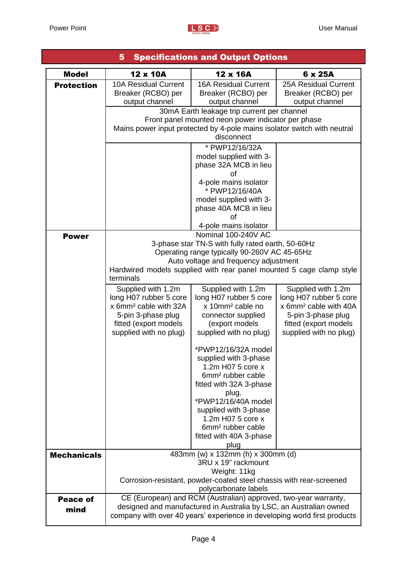

|                    | <b>Specifications and Output Options</b><br>5                                                                 |                                                               |                                                              |  |
|--------------------|---------------------------------------------------------------------------------------------------------------|---------------------------------------------------------------|--------------------------------------------------------------|--|
| <b>Model</b>       | 12 x 10A                                                                                                      | 12 x 16A                                                      | 6 x 25A                                                      |  |
| <b>Protection</b>  | <b>10A Residual Current</b><br>Breaker (RCBO) per<br>output channel                                           | <b>16A Residual Current</b><br>Breaker (RCBO) per             | 25A Residual Current<br>Breaker (RCBO) per<br>output channel |  |
|                    |                                                                                                               | output channel<br>30mA Earth leakage trip current per channel |                                                              |  |
|                    | Front panel mounted neon power indicator per phase                                                            |                                                               |                                                              |  |
|                    | Mains power input protected by 4-pole mains isolator switch with neutral                                      |                                                               |                                                              |  |
|                    | disconnect<br>* PWP12/16/32A                                                                                  |                                                               |                                                              |  |
|                    | model supplied with 3-                                                                                        |                                                               |                                                              |  |
|                    |                                                                                                               | phase 32A MCB in lieu                                         |                                                              |  |
|                    |                                                                                                               | of                                                            |                                                              |  |
|                    |                                                                                                               | 4-pole mains isolator<br>* PWP12/16/40A                       |                                                              |  |
|                    |                                                                                                               | model supplied with 3-                                        |                                                              |  |
|                    |                                                                                                               | phase 40A MCB in lieu                                         |                                                              |  |
|                    |                                                                                                               | Ωf<br>4-pole mains isolator                                   |                                                              |  |
| <b>Power</b>       |                                                                                                               | Nominal 100-240V AC                                           |                                                              |  |
|                    |                                                                                                               | 3-phase star TN-S with fully rated earth, 50-60Hz             |                                                              |  |
|                    | Operating range typically 90-260V AC 45-65Hz                                                                  |                                                               |                                                              |  |
|                    | Auto voltage and frequency adjustment<br>Hardwired models supplied with rear panel mounted 5 cage clamp style |                                                               |                                                              |  |
|                    | terminals                                                                                                     |                                                               |                                                              |  |
|                    | Supplied with 1.2m                                                                                            | Supplied with 1.2m                                            | Supplied with 1.2m                                           |  |
|                    | long H07 rubber 5 core<br>x 6mm <sup>2</sup> cable with 32A                                                   | long H07 rubber 5 core<br>x 10mm <sup>2</sup> cable no        | long H07 rubber 5 core<br>x 6mm <sup>2</sup> cable with 40A  |  |
|                    | 5-pin 3-phase plug                                                                                            | connector supplied                                            | 5-pin 3-phase plug                                           |  |
|                    | fitted (export models                                                                                         | (export models                                                | fitted (export models                                        |  |
|                    | supplied with no plug)                                                                                        | supplied with no plug)                                        | supplied with no plug)                                       |  |
|                    |                                                                                                               | *PWP12/16/32A model                                           |                                                              |  |
|                    |                                                                                                               | supplied with 3-phase                                         |                                                              |  |
|                    |                                                                                                               | 1.2m H07 5 core x<br>6mm <sup>2</sup> rubber cable            |                                                              |  |
|                    |                                                                                                               | fitted with 32A 3-phase                                       |                                                              |  |
|                    |                                                                                                               | plug.                                                         |                                                              |  |
|                    |                                                                                                               | *PWP12/16/40A model<br>supplied with 3-phase                  |                                                              |  |
|                    |                                                                                                               | 1.2m H07 5 core x                                             |                                                              |  |
|                    |                                                                                                               | 6mm <sup>2</sup> rubber cable                                 |                                                              |  |
|                    |                                                                                                               | fitted with 40A 3-phase<br>plug                               |                                                              |  |
| <b>Mechanicals</b> |                                                                                                               | 483mm (w) x 132mm (h) x 300mm (d)                             |                                                              |  |
|                    |                                                                                                               | 3RU x 19" rackmount                                           |                                                              |  |
|                    | Weight: 11kg                                                                                                  |                                                               |                                                              |  |
|                    | Corrosion-resistant, powder-coated steel chassis with rear-screened<br>polycarbonate labels                   |                                                               |                                                              |  |
| <b>Peace of</b>    | CE (European) and RCM (Australian) approved, two-year warranty,                                               |                                                               |                                                              |  |
| mind               | designed and manufactured in Australia by LSC, an Australian owned                                            |                                                               |                                                              |  |
|                    | company with over 40 years' experience in developing world first products                                     |                                                               |                                                              |  |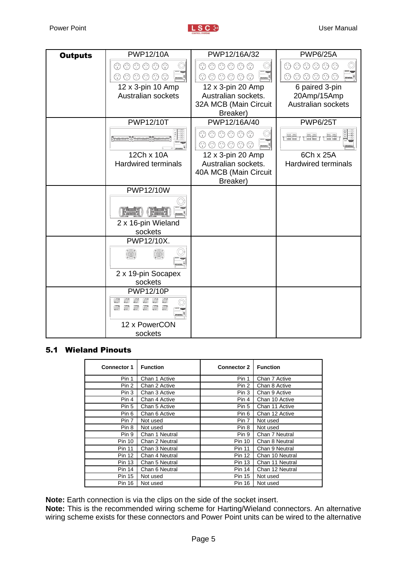| <b>Outputs</b> | <b>PWP12/10A</b>                            | PWP12/16A/32                                                                  | <b>PWP6/25A</b>                         |
|----------------|---------------------------------------------|-------------------------------------------------------------------------------|-----------------------------------------|
|                | $\odot$ $\odot$ $\odot$ $\odot$<br>⊙        | $\odot$ $\odot$ $\odot$ $\odot$<br>⊙                                          | $\odot$ $\odot$ $\odot$ $\odot$ $\odot$ |
|                | $\circledcirc \circledcirc \circ$<br>⊙<br>⊙ | $\circledcirc \circledcirc \circledcirc$<br>⊙                                 | ① ①<br>$\circledcirc \circledcirc$<br>€ |
|                | 12 x 3-pin 10 Amp                           | 12 x 3-pin 20 Amp                                                             | 6 paired 3-pin                          |
|                | Australian sockets                          | Australian sockets.                                                           | 20Amp/15Amp                             |
|                |                                             | 32A MCB (Main Circuit                                                         | Australian sockets                      |
|                | <b>PWP12/10T</b>                            | Breaker)<br>PWP12/16A/40                                                      | <b>PWP6/25T</b>                         |
|                |                                             | $\begin{array}{ccccc} \odot & \odot & \odot & \odot & \odot \end{array}$<br>⊙ |                                         |
|                | Frances Trances Trances<br>$rac{c}{a}$      | $\circledcirc \circledcirc \circ$<br>⊙<br>⊙                                   | <del>mm</del><br>Tees ees<br>Tara Tari  |
|                | 12Ch x 10A                                  | 12 x 3-pin 20 Amp                                                             | 6Ch x 25A                               |
|                | <b>Hardwired terminals</b>                  | Australian sockets.                                                           | <b>Hardwired terminals</b>              |
|                |                                             | 40A MCB (Main Circuit<br>Breaker)                                             |                                         |
|                | <b>PWP12/10W</b>                            |                                                                               |                                         |
|                |                                             |                                                                               |                                         |
|                |                                             |                                                                               |                                         |
|                | 2 x 16-pin Wieland                          |                                                                               |                                         |
|                | sockets<br>PWP12/10X.                       |                                                                               |                                         |
|                |                                             |                                                                               |                                         |
|                |                                             |                                                                               |                                         |
|                | 2 x 19-pin Socapex                          |                                                                               |                                         |
|                | sockets                                     |                                                                               |                                         |
|                | <b>PWP12/10P</b>                            |                                                                               |                                         |
|                | Ø<br>Ø<br>Ø                                 |                                                                               |                                         |
|                | 12 x PowerCON                               |                                                                               |                                         |
|                | sockets                                     |                                                                               |                                         |

## <span id="page-6-0"></span>5.1 Wieland Pinouts

| <b>Connector 1</b> | <b>Function</b> | <b>Connector 2</b> | <b>Function</b> |
|--------------------|-----------------|--------------------|-----------------|
| Pin 1              | Chan 1 Active   | Pin 1              | Chan 7 Active   |
| Pin 2              | Chan 2 Active   | Pin 2              | Chan 8 Active   |
| Pin 3              | Chan 3 Active   | Pin 3              | Chan 9 Active   |
| Pin 4              | Chan 4 Active   | Pin 4              | Chan 10 Active  |
| Pin 5              | Chan 5 Active   | Pin 5              | Chan 11 Active  |
| Pin 6              | Chan 6 Active   | Pin 6              | Chan 12 Active  |
| Pin 7              | Not used        | Pin 7              | Not used        |
| Pin 8              | Not used        | Pin 8              | Not used        |
| Pin 9              | Chan 1 Neutral  | Pin 9              | Chan 7 Neutral  |
| <b>Pin 10</b>      | Chan 2 Neutral  | <b>Pin 10</b>      | Chan 8 Neutral  |
| <b>Pin 11</b>      | Chan 3 Neutral  | <b>Pin 11</b>      | Chan 9 Neutral  |
| <b>Pin 12</b>      | Chan 4 Neutral  | <b>Pin 12</b>      | Chan 10 Neutral |
| <b>Pin 13</b>      | Chan 5 Neutral  | <b>Pin 13</b>      | Chan 11 Neutral |
| <b>Pin 14</b>      | Chan 6 Neutral  | <b>Pin 14</b>      | Chan 12 Neutral |
| <b>Pin 15</b>      | Not used        | <b>Pin 15</b>      | Not used        |
| <b>Pin 16</b>      | Not used        | <b>Pin 16</b>      | Not used        |

**Note:** Earth connection is via the clips on the side of the socket insert.

**Note:** This is the recommended wiring scheme for Harting/Wieland connectors. An alternative wiring scheme exists for these connectors and Power Point units can be wired to the alternative